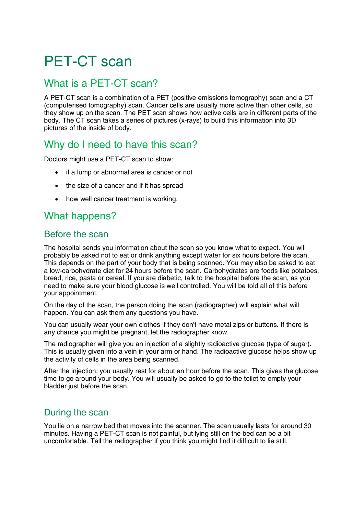# PET-CT scan

## What is a PET-CT scan?

A PET-CT scan is a combination of a PET (positive emissions tomography) scan and a CT (computerised tomography) scan. Cancer cells are usually more active than other cells, so they show up on the scan. The PET scan shows how active cells are in different parts of the body. The CT scan takes a series of pictures (x-rays) to build this information into 3D pictures of the inside of body.

# Why do I need to have this scan?

Doctors might use a PET-CT scan to show:

- if a lump or abnormal area is cancer or not
- the size of a cancer and if it has spread
- how well cancer treatment is working.

## What happens?

#### Before the scan

The hospital sends you information about the scan so you know what to expect. You will probably be asked not to eat or drink anything except water for six hours before the scan. This depends on the part of your body that is being scanned. You may also be asked to eat a low-carbohydrate diet for 24 hours before the scan. Carbohydrates are foods like potatoes, bread, rice, pasta or cereal. If you are diabetic, talk to the hospital before the scan, as you need to make sure your blood glucose is well controlled. You will be told all of this before your appointment.

On the day of the scan, the person doing the scan (radiographer) will explain what will happen. You can ask them any questions you have.

You can usually wear your own clothes if they don't have metal zips or buttons. If there is any chance you might be pregnant, let the radiographer know.

The radiographer will give you an injection of a slightly radioactive glucose (type of sugar). This is usually given into a vein in your arm or hand. The radioactive glucose helps show up the activity of cells in the area being scanned.

After the injection, you usually rest for about an hour before the scan. This gives the glucose time to go around your body. You will usually be asked to go to the toilet to empty your bladder just before the scan.

## During the scan

You lie on a narrow bed that moves into the scanner. The scan usually lasts for around 30 minutes. Having a PET-CT scan is not painful, but lying still on the bed can be a bit uncomfortable. Tell the radiographer if you think you might find it difficult to lie still.